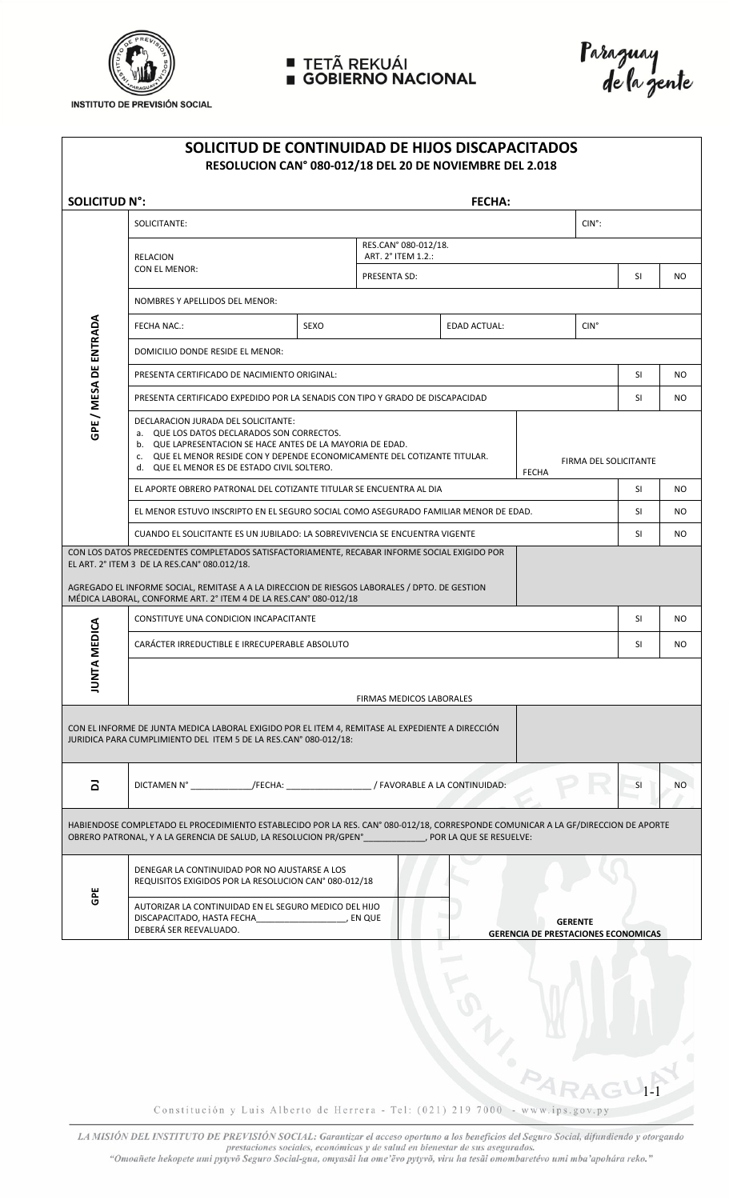

## TETÃ REKUÁI<br>GOBIERNO NACIONAL



**INSTITUTO DE PREVISIÓN SOCIAL** 

| SOLICITUD DE CONTINUIDAD DE HIJOS DISCAPACITADOS<br>RESOLUCION CAN° 080-012/18 DEL 20 DE NOVIEMBRE DEL 2.018                                                                                                                     |                                                                                                                                                                                                                                                                                                                       |             |                                            |                     |                 |      |    |           |  |  |  |
|----------------------------------------------------------------------------------------------------------------------------------------------------------------------------------------------------------------------------------|-----------------------------------------------------------------------------------------------------------------------------------------------------------------------------------------------------------------------------------------------------------------------------------------------------------------------|-------------|--------------------------------------------|---------------------|-----------------|------|----|-----------|--|--|--|
| <b>SOLICITUD N°:</b>                                                                                                                                                                                                             |                                                                                                                                                                                                                                                                                                                       |             |                                            | <b>FECHA:</b>       |                 |      |    |           |  |  |  |
| GPE / MESA DE ENTRADA                                                                                                                                                                                                            | SOLICITANTE:                                                                                                                                                                                                                                                                                                          |             |                                            |                     | $CIN^{\circ}$ : |      |    |           |  |  |  |
|                                                                                                                                                                                                                                  | <b>RELACION</b><br>CON EL MENOR:                                                                                                                                                                                                                                                                                      |             | RES.CAN° 080-012/18.<br>ART. 2° ITEM 1.2.: |                     |                 |      |    |           |  |  |  |
|                                                                                                                                                                                                                                  |                                                                                                                                                                                                                                                                                                                       |             | PRESENTA SD:                               |                     |                 |      | SI | NO.       |  |  |  |
|                                                                                                                                                                                                                                  | NOMBRES Y APELLIDOS DEL MENOR:                                                                                                                                                                                                                                                                                        |             |                                            |                     |                 |      |    |           |  |  |  |
|                                                                                                                                                                                                                                  | <b>FECHA NAC.:</b>                                                                                                                                                                                                                                                                                                    | <b>SEXO</b> |                                            | <b>EDAD ACTUAL:</b> |                 | CIN° |    |           |  |  |  |
|                                                                                                                                                                                                                                  | DOMICILIO DONDE RESIDE EL MENOR:                                                                                                                                                                                                                                                                                      |             |                                            |                     |                 |      |    |           |  |  |  |
|                                                                                                                                                                                                                                  | PRESENTA CERTIFICADO DE NACIMIENTO ORIGINAL:                                                                                                                                                                                                                                                                          |             |                                            |                     |                 |      |    | NO.       |  |  |  |
|                                                                                                                                                                                                                                  | PRESENTA CERTIFICADO EXPEDIDO POR LA SENADIS CON TIPO Y GRADO DE DISCAPACIDAD                                                                                                                                                                                                                                         |             |                                            |                     |                 |      |    | <b>NO</b> |  |  |  |
|                                                                                                                                                                                                                                  | DECLARACION JURADA DEL SOLICITANTE:<br>a. QUE LOS DATOS DECLARADOS SON CORRECTOS.<br>b. QUE LAPRESENTACION SE HACE ANTES DE LA MAYORIA DE EDAD.<br>c. QUE EL MENOR RESIDE CON Y DEPENDE ECONOMICAMENTE DEL COTIZANTE TITULAR.<br>FIRMA DEL SOLICITANTE<br>d. QUE EL MENOR ES DE ESTADO CIVIL SOLTERO.<br><b>FECHA</b> |             |                                            |                     |                 |      |    |           |  |  |  |
|                                                                                                                                                                                                                                  | EL APORTE OBRERO PATRONAL DEL COTIZANTE TITULAR SE ENCUENTRA AL DIA                                                                                                                                                                                                                                                   |             |                                            |                     |                 |      |    | NO.       |  |  |  |
|                                                                                                                                                                                                                                  | EL MENOR ESTUVO INSCRIPTO EN EL SEGURO SOCIAL COMO ASEGURADO FAMILIAR MENOR DE EDAD.                                                                                                                                                                                                                                  |             |                                            |                     |                 |      |    | NO.       |  |  |  |
|                                                                                                                                                                                                                                  | CUANDO EL SOLICITANTE ES UN JUBILADO: LA SOBREVIVENCIA SE ENCUENTRA VIGENTE                                                                                                                                                                                                                                           |             |                                            |                     |                 |      |    | NO.       |  |  |  |
|                                                                                                                                                                                                                                  | CON LOS DATOS PRECEDENTES COMPLETADOS SATISFACTORIAMENTE, RECABAR INFORME SOCIAL EXIGIDO POR<br>EL ART. 2° ITEM 3 DE LA RES.CAN° 080.012/18.                                                                                                                                                                          |             |                                            |                     |                 |      |    |           |  |  |  |
|                                                                                                                                                                                                                                  | AGREGADO EL INFORME SOCIAL, REMITASE A A LA DIRECCION DE RIESGOS LABORALES / DPTO. DE GESTION<br>MÉDICA LABORAL, CONFORME ART. 2° ITEM 4 DE LA RES.CAN° 080-012/18                                                                                                                                                    |             |                                            |                     |                 |      |    |           |  |  |  |
|                                                                                                                                                                                                                                  | CONSTITUYE UNA CONDICION INCAPACITANTE                                                                                                                                                                                                                                                                                |             |                                            |                     |                 |      | SI | NO        |  |  |  |
| <b>MEDICA</b><br>ℯ<br>JUNTA                                                                                                                                                                                                      | CARÁCTER IRREDUCTIBLE E IRRECUPERABLE ABSOLUTO                                                                                                                                                                                                                                                                        |             |                                            |                     |                 |      |    | NO.       |  |  |  |
|                                                                                                                                                                                                                                  | <b>FIRMAS MEDICOS LABORALES</b>                                                                                                                                                                                                                                                                                       |             |                                            |                     |                 |      |    |           |  |  |  |
| CON EL INFORME DE JUNTA MEDICA LABORAL EXIGIDO POR EL ITEM 4, REMITASE AL EXPEDIENTE A DIRECCIÓN<br>JURIDICA PARA CUMPLIMIENTO DEL ITEM 5 DE LA RES.CAN° 080-012/18:                                                             |                                                                                                                                                                                                                                                                                                                       |             |                                            |                     |                 |      |    |           |  |  |  |
| $\overline{\mathbf{a}}$                                                                                                                                                                                                          | DICTAMEN N° ______________/FECHA: ___________________/ FAVORABLE A LA CONTINUIDAD:                                                                                                                                                                                                                                    |             |                                            |                     |                 |      | SI | NO.       |  |  |  |
| HABIENDOSE COMPLETADO EL PROCEDIMIENTO ESTABLECIDO POR LA RES. CANº 080-012/18, CORRESPONDE COMUNICAR A LA GF/DIRECCION DE APORTE<br>OBRERO PATRONAL, Y A LA GERENCIA DE SALUD, LA RESOLUCION PR/GPENº , POR LA QUE SE RESUELVE: |                                                                                                                                                                                                                                                                                                                       |             |                                            |                     |                 |      |    |           |  |  |  |
| GPE                                                                                                                                                                                                                              | DENEGAR LA CONTINUIDAD POR NO AJUSTARSE A LOS<br>REQUISITOS EXIGIDOS POR LA RESOLUCION CANº 080-012/18                                                                                                                                                                                                                |             |                                            |                     |                 |      |    |           |  |  |  |
|                                                                                                                                                                                                                                  | AUTORIZAR LA CONTINUIDAD EN EL SEGURO MEDICO DEL HIJO<br>DISCAPACITADO, HASTA FECHA (ESPELLADOR EN QUE<br><b>GERENTE</b><br>DEBERÁ SER REEVALUADO.<br><b>GERENCIA DE PRESTACIONES ECONOMICAS</b>                                                                                                                      |             |                                            |                     |                 |      |    |           |  |  |  |

FOT M Constitución y Luis Alberto de Herrera - Tel: (021) 219 7000 - www.ips.gov.py

LA MISIÓN DEL INSTITUTO DE PREVISIÓN SOCIAL: Garantizar el acceso oportuno a los beneficios del Seguro Social, difundiendo y otorgando prestaciones sociales, económicas y de salud en bienestar de sus asegurados.<br>"Omoañete hekopete umi pytyvõ Seguro Social-gua, omyasãi ha ome'evo pytyvõ, viru ha tesãi omombaretévo umi mba'apohára reko."